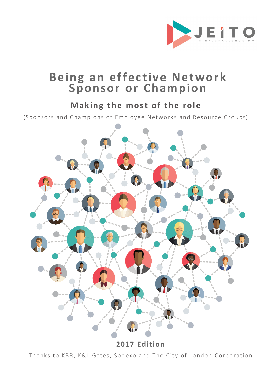

# Being an effective Network **Sponsor or Champion**

## **Making the most of the role**

(Sponsors and Champions of Employee Networks and Resource Groups)



**2017 Edition** 

Thanks to KBR, K&L Gates, Sodexo and The City of London Corporation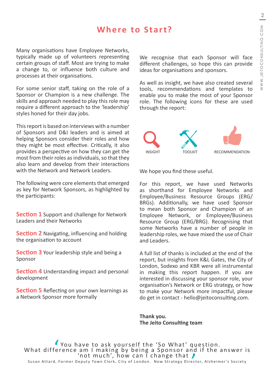## **Where to Start?**

Many organisations have Employee Networks, typically made up of volunteers representing certain groups of staff. Most are trying to make a change to, or influence both culture and processes at their organisations.

For some senior staff, taking on the role of a Sponsor or Champion is a new challenge. The skills and approach needed to play this role may require a different approach to the 'leadership' styles honed for their day jobs.

This report is based on interviews with a number of Sponsors and D&I leaders and is aimed at helping Sponsors consider their roles and how they might be most effective. Critically, it also provides a perspective on how they can get the most from their roles as individuals, so that they also learn and develop from their interactions with the Network and Network Leaders.

The following were core elements that emerged as key for Network Sponsors, as highlighted by the participants:

**Section 1** Support and challenge for Network Leaders and their Networks

**Section 2** Navigating, influencing and holding the organisation to account

**Section 3** Your leadership style and being a Sponsor

**Section 4** Understanding impact and personal development

**Section 5** Reflecting on your own learnings as a Network Sponsor more formally

We recognise that each Sponsor will face different challenges, so hope this can provide ideas for organisations and sponsors.

As well as insight, we have also created several tools, recommendations and templates to enable you to make the most of your Sponsor role. The following icons for these are used through the report:



We hope you find these useful.

For this report, we have used Networks as shorthand for Employee Networks and Employee/Business Resource Groups (ERG/ BRGs). Additionally, we have used Sponsor to mean both Sponsor and Champion of an Employee Network, or Employee/Business Resource Group (ERG/BRG). Recognising that some Networks have a number of people in leadership roles, we have mixed the use of Chair and Leaders.

A full list of thanks is included at the end of the report, but insights from K&L Gates, the City of London, Sodexo and KBR were all instrumental in making this report happen. If you are interested in discussing your sponsor role, your organisation's Network or ERG strategy, or how to make your Network more impactful, please do get in contact - hello@jeitoconsulting.com.

**Thank you. The Jeito Consulting team**

 $\frac{1}{e}$ You have to ask yourself the 'So What' question.<br>What difference am I making by being a Sponsor and if the answer is<br>'not much', how can I change that 's Society<br>Susan Attard, Former Deputy Town Clerk, City of London. Now Susan Attard, Former Deputy Town Clerk, City of London. Now Strategy Director, Alzheimer's Society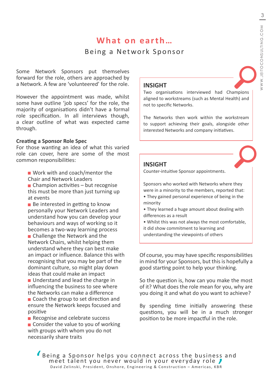# **What on earth…**

### Being a Network Sponsor

Some Network Sponsors put themselves forward for the role, others are approached by a Network. A few are 'volunteered' for the role.

However the appointment was made, whilst some have outline 'job specs' for the role, the majority of organisations didn't have a formal role specification. In all interviews though, a clear outline of what was expected came through.

#### **Creating a Sponsor Role Spec**

For those wanting an idea of what this varied role can cover, here are some of the most common responsibilities:

- Work with and coach/mentor the Chair and Network Leaders
- $\blacksquare$  Champion activities but recognise this must be more than just turning up at events
- $\blacksquare$  Be interested in getting to know personally your Network Leaders and understand how you can develop your behaviours and ways of working so it becomes a two-way learning process
- Challenge the Network and the Network Chairs, whilst helping them understand where they can best make an impact or influence. Balance this with recognising that you may be part of the dominant culture, so might play down ideas that could make an impact
- **Understand and lead the charge in** influencing the business to see where the Networks can make a difference
- Coach the group to set direction and ensure the Network keeps focused and positive
- Recognise and celebrate success  $\blacksquare$  Consider the value to you of working with groups with whom you do not necessarily share traits

### **INSIGHT**

Two organisations interviewed had Champions aligned to workstreams (such as Mental Health) and not to specific Networks.

The Networks then work within the workstream to support achieving their goals, alongside other interested Networks and company initiatives.

#### **INSIGHT**

Counter-intuitive Sponsor appointments.

Sponsors who worked with Networks where they were in a minority to the members, reported that:

- They gained personal experience of being in the minority
- They learned a huge amount about dealing with differences as a result
- Whilst this was not always the most comfortable,
- it did show commitment to learning and understanding the viewpoints of others

Of course, you may have specific responsibilities in mind for your Sponsors, but this is hopefully a good starting point to help your thinking.

So the question is, how can you make the most of it? What does the role mean for you, why are you doing it and what do you want to achieve?

By spending time initially answering these questions, you will be in a much stronger position to be more impactful in the role.

' Being a Sponsor helps you connect across the business and<br>meet talent you never would in your everyday role<br>David Zelinski, President, Onshore, Engineering & Construction - Americas, KBR David Zelinski, President, Onshore, Engineering & Construction – Americas, KBR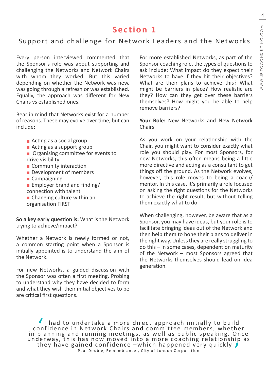### Support and challenge for Network Leaders and the Networks

Every person interviewed commented that the Sponsor's role was about supporting and challenging the Networks and Network Chairs with whom they worked. But this varied depending on whether the Network was new, was going through a refresh or was established. Equally, the approach was different for New Chairs vs established ones.

Bear in mind that Networks exist for a number of reasons. These may evolve over time, but can include:

- **Acting as a social group**
- Acting as a support group
- Organising committee for events to drive visibility
- Community interaction
- **Development of members**
- Campaigning
- **Employer brand and finding/** connection with talent
- **Changing culture within an**
- organisation FIRST

**So a key early question is:** What is the Network trying to achieve/impact?

Whether a Network is newly formed or not, a common starting point when a Sponsor is initially appointed is to understand the aim of the Network.

For new Networks, a guided discussion with the Sponsor was often a first meeting. Probing to understand why they have decided to form and what they wish their initial objectives to be are critical first questions.

For more established Networks, as part of the Sponsor coaching role, the types of questions to ask include: What impact do they expect their Networks to have if they hit their objectives? What are their plans to achieve this? What might be barriers in place? How realistic are they? How can they get over these barriers themselves? How might you be able to help remove barriers?

**Your Role:** New Networks and New Network **Chairs** 

As you work on your relationship with the Chair, you might want to consider exactly what role you should play. For most Sponsors, for new Networks, this often means being a little more directive and acting as a consultant to get things off the ground. As the Network evolves, however, this role moves to being a coach/ mentor. In this case, it's primarily a role focused on asking the right questions for the Networks to achieve the right result, but without telling them exactly what to do.

When challenging, however, be aware that as a Sponsor, you may have ideas, but your role is to facilitate bringing ideas out of the Network and then help them to hone their plans to deliver in the right way. Unless they are really struggling to do this – in some cases, dependent on maturity of the Network – most Sponsors agreed that the Networks themselves should lead on idea generation.

I had to undertake a more direct approach initially to build<br>confidence in Network Chairs and committee members, whether<br>in planning and running meetings, as well as public speaking. Once I had to undertake a more direct approach initially to build confidence in Network Chairs and committee members, whether underway, this has now moved into a more coaching relationship as<br>they have gained confidence –which happened very quickly  $\int_{Paul\ Double, Rememberance, City of London Corporation}$ Paul Double, Remembrancer, City of London Corporation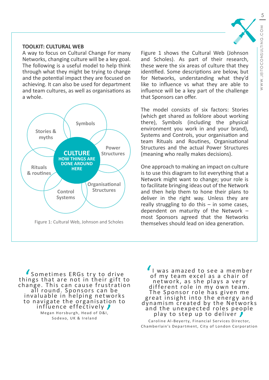#### **TOOLKIT: CULTURAL WEB**

A way to focus on Cultural Change For many Networks, changing culture will be a key goal. The following is a useful model to help think through what they might be trying to change and the potential impact they are focused on achieving. It can also be used for department and team cultures, as well as organisations as a whole.



Figure 1 shows the Cultural Web (Johnson and Scholes). As part of their research, these were the six areas of culture that they identified. Some descriptions are below, but for Networks, understanding what they'd like to influence vs what they are able to influence will be a key part of the challenge that Sponsors can offer.

The model consists of six factors: Stories (which get shared as folklore about working there), Symbols (including the physical environment you work in and your brand), Systems and Controls, your organisation and team Rituals and Routines, Organisational Structures and the actual Power Structures (meaning who really makes decisions).

One approach to making an impact on culture is to use this diagram to list everything that a Network might want to change; your role is to facilitate bringing ideas out of the Network and then help them to hone their plans to deliver in the right way. Unless they are really struggling to do this – in some cases, dependent on maturity of the Network – most Sponsors agreed that the Networks themselves should lead on idea generation.

l<br>
ir<br>
a Sometimes ERGs try to drive<br>things that are not in their gift to change. This can cause frustration<br>all round. Sponsors can be<br>invaluable in helping networks to navigate the organisation to<br>influence effectively Megan Horsburgh, Head of D&I, Sodexo, UK & Ireland

' I was amazed to see a member of my team excel as a chair of network, as she plays a very different role in my own team. T he Sponsor role has given me great insight into the energy and dynamism created by the Networks and the unexpected roles people<br>play to step up to deliver Caroline Al-Beyerty, Financial Services Director, Chamberlain's Department, City of London Corporation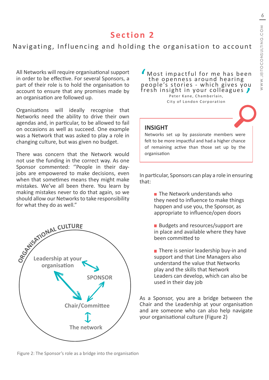### Navigating, Influencing and holding the organisation to account

All Networks will require organisational support in order to be effective. For several Sponsors, a part of their role is to hold the organisation to account to ensure that any promises made by an organisation are followed up.

Organisations will ideally recognise that Networks need the ability to drive their own agendas and, in particular, to be allowed to fail on occasions as well as succeed. One example was a Network that was asked to play a role in changing culture, but was given no budget.

There was concern that the Network would not use the funding in the correct way. As one Sponsor commented: ''People in their dayjobs are empowered to make decisions, even when that sometimes means they might make mistakes. We've all been there. You learn by making mistakes never to do that again, so we should allow our Networks to take responsibility for what they do as well."



 $\frac{1}{p}$ Most impactful for me has been the openness around hearing people's stories - which gives you fresh insight in your colleagues  $\sqrt{\phantom{a}}$ Peter Kane, Chamberlain,

City of London Corporation

### **INSIGHT**

Networks set up by passionate members were felt to be more impactful and had a higher chance of remaining active than those set up by the organisation

In particular, Sponsors can play a role in ensuring that:

- $\blacksquare$  The Network understands who they need to influence to make things happen and use you, the Sponsor, as appropriate to influence/open doors
- Budgets and resources/support are in place and available where they have been committed to
- $\blacksquare$  There is senior leadership buy-in and support and that Line Managers also understand the value that Networks play and the skills that Network Leaders can develop, which can also be used in their day job

As a Sponsor, you are a bridge between the Chair and the Leadership at your organisation and are someone who can also help navigate your organisational culture (Figure 2)

Figure 2: The Sponsor's role as a bridge into the organisation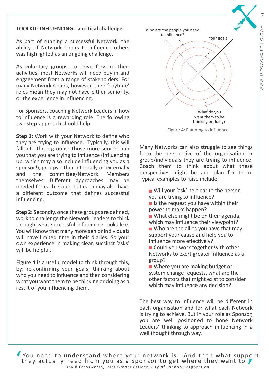#### **TOOLKIT: INFLUENCING** - **a critical challenge**

As part of running a successful Network, the ability of Network Chairs to influence others was highlighted as an ongoing challenge.

As voluntary groups, to drive forward their activities, most Networks will need buy-in and engagement from a range of stakeholders. For many Network Chairs, however, their 'daytime' roles mean they may not have either seniority, or the experience in influencing.

For Sponsors, coaching Network Leaders in how to influence is a rewarding role. The following two step-approach should help.

**Step 1:** Work with your Network to define who they are trying to influence. Typically, this will fall into three groups: Those more senior than you that you are trying to influence (Influencing up, which may also include influencing you as a sponsor!), groups either internally or externally and the committee/Network Members themselves. Different approaches may be needed for each group, but each may also have a different outcome that defines successful influencing.

**Step 2:** Secondly, once these groups are defined, work to challenge the Network Leaders to think through what successful influencing looks like. You will know that many more senior individuals will have limited time in their diaries. So your own experience in making clear, succinct 'asks' will be helpful.

Figure 4 is a useful model to think through this, by: re-confirming your goals; thinking about who you need to influence and then considering what you want them to be thinking or doing as a result of you influencing them.



Figure 4: Planning to influence

Many Networks can also struggle to see things from the perspective of the organisation or group/individuals they are trying to influence. Coach them to think about what these perspectives might be and plan for them. Typical examples to raise include:

- Will your 'ask' be clear to the person you are trying to influence?
- $\blacksquare$  Is the request you have within their power to make happen?
- What else might be on their agenda, which may influence their viewpoint?
- Who are the allies you have that may support your cause and help you to influence more effectively?
- Could you work together with other Networks to exert greater influence as a group?
- Where you are making budget or system change requests, what are the other factors that might exist to consider which may influence any decision?

The best way to influence will be different in each organisation and for what each Network is trying to achieve. But in your role as Sponsor, you are well positioned to hone Network Leaders' thinking to approach influencing in a well thought through way.

' You need to understand where your network is. And then what support they actually need from you as a Sponsor to get where they want to  $\bm{J}$ David Farnsworth,Chief Grants Officer, City of London Corporation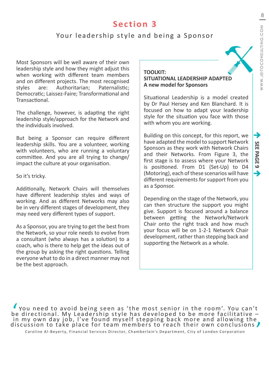### Your leadership style and being a Sponsor

Most Sponsors will be well aware of their own leadership style and how they might adjust this when working with different team members and on different projects. The most recognised styles are: Authoritarian; Paternalistic; Democratic; Laissez-Faire; Transformational and Transactional.

The challenge, however, is adapting the right leadership style/approach for the Network and the individuals involved.

But being a Sponsor can require different leadership skills. You are a volunteer, working with volunteers, who are running a voluntary committee. And you are all trying to change/ impact the culture at your organisation.

So it's tricky.

Additionally, Network Chairs will themselves have different leadership styles and ways of working. And as different Networks may also be in very different stages of development, they may need very different types of support.

As a Sponsor, you are trying to get the best from the Network, so your role needs to evolve from a consultant (who always has a solution) to a coach, who is there to help get the ideas out of the group by asking the right questions. Telling everyone what to do in a direct manner may not be the best approach.

#### **TOOLKIT: SITUATIONAL LEADERSHIP ADAPTED A new model for Sponsors**

Situational Leadership is a model created by Dr Paul Hersey and Ken Blanchard. It is focused on how to adapt your leadership style for the situation you face with those with whom you are working.

Building on this concept, for this report, we have adapted the model to support Network Sponsors as they work with Network Chairs and their Networks. From Figure 3, the first stage is to assess where your Network is positioned. From D1 (Set-Up) to D4 (Motoring), each of these scenarios will have different requirements for support from you as a Sponsor.

Depending on the stage of the Network, you can then structure the support you might give. Support is focused around a balance between getting the Network/Network Chair onto the right track and how much your focus will be on 1-2-1 Network Chair development, rather than stepping back and supporting the Network as a whole.

You need to avoid being seen as 'the most senior in the room'. You can't<br>be directional. My Leadership style has developed to be more facilitative -<br>in my own day job, I've found myself stepping back more and allowing the discussion to take place for team members to reach their own conclusions  $\blacktriangleright$ Caroline Al-Beyerty, Financial Services Director, Chamberlain's Department, City of London Corporation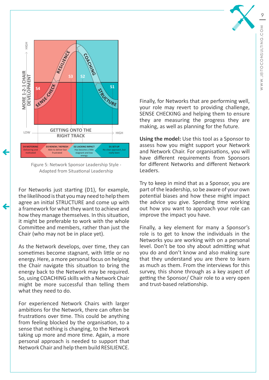

Figure 5: Network Sponsor Leadership Style - Adapted from Situational Leadership

For Networks just starting (D1), for example, the likelihood is that you may need to help them agree an initial STRUCTURE and come up with a framework for what they want to achieve and how they manage themselves. In this situation, it might be preferable to work with the whole Committee and members, rather than just the Chair (who may not be in place yet).

As the Network develops, over time, they can sometimes become stagnant, with little or no energy. Here, a more personal focus on helping the Chair navigate this situation to bring the energy back to the Network may be required. So, using COACHING skills with a Network Chair might be more successful than telling them what they need to do.

For experienced Network Chairs with larger ambitions for the Network, there can often be frustrations over time. This could be anything from feeling blocked by the organisation, to a sense that nothing is changing, to the Network taking up more and more time. Again, a more personal approach is needed to support that Network Chair and help them build RESILIENCE.

Finally, for Networks that are performing well, your role may revert to providing challenge, SENSE CHECKING and helping them to ensure they are measuring the progress they are making, as well as planning for the future.

**Using the model:** Use this tool as a Sponsor to assess how you might support your Network and Network Chair. For organisations, you will have different requirements from Sponsors for different Networks and different Network Leaders.

Try to keep in mind that as a Sponsor, you are part of the leadership, so be aware of your own potential biases and how these might impact the advice you give. Spending time working out how you want to approach your role can improve the impact you have.

Finally, a key element for many a Sponsor's role is to get to know the individuals in the Networks you are working with on a personal level. Don't be too shy about admitting what you do and don't know and also making sure that they understand you are there to learn as much as them. From the interviews for this survey, this shone through as a key aspect of getting the Sponsor/ Chair role to a very open and trust-based relationship.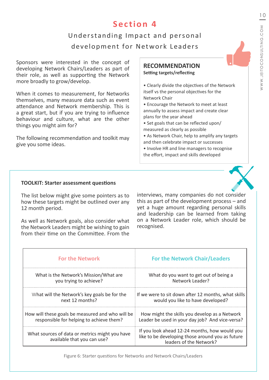## Understanding Impact and personal development for Network Leaders

Sponsors were interested in the concept of developing Network Chairs/Leaders as part of their role, as well as supporting the Network more broadly to grow/develop.

When it comes to measurement, for Networks themselves, many measure data such as event attendance and Network membership. This is a great start, but if you are trying to influence behaviour and culture, what are the other things you might aim for?

The following recommendation and toolkit may give you some ideas.

## **RECOMMENDATION**

**Setting targets/reflecting** 

• Clearly divide the objectives of the Network itself vs the personal objectives for the Network Chair

• Encourage the Network to meet at least annually to assess impact and create clear plans for the year ahead

- Set goals that can be reflected upon/ measured as clearly as possible
- As Network Chair, help to amplify any targets and then celebrate impact or successes
- Involve HR and line managers to recognise the effort, impact and skills developed

#### **TOOLKIT: Starter assessment questions**

The list below might give some pointers as to how these targets might be outlined over any 12 month period.

As well as Network goals, also consider what the Network Leaders might be wishing to gain from their time on the Committee. From the

interviews, many companies do not consider this as part of the development process – and yet a huge amount regarding personal skills and leadership can be learned from taking on a Network Leader role, which should be recognised.

| <b>For the Network</b>                                                        | <b>For the Network Chair/Leaders</b>                                                                                         |
|-------------------------------------------------------------------------------|------------------------------------------------------------------------------------------------------------------------------|
| What is the Network's Mission/What are                                        | What do you want to get out of being a                                                                                       |
| you trying to achieve?                                                        | Network Leader?                                                                                                              |
| What will the Network's key goals be for the                                  | If we were to sit down after 12 months, what skills                                                                          |
| next 12 months?                                                               | would you like to have developed?                                                                                            |
| How will these goals be measured and who will be                              | How might the skills you develop as a Network                                                                                |
| responsible for helping to achieve them?                                      | Leader be used in your day job? And vice-versa?                                                                              |
| What sources of data or metrics might you have<br>available that you can use? | If you look ahead 12-24 months, how would you<br>like to be developing those around you as future<br>leaders of the Network? |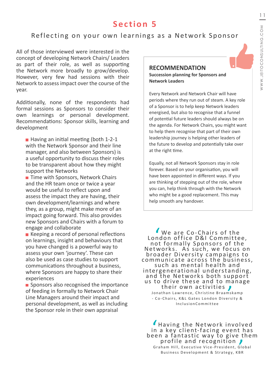### Reflecting on your own learnings as a Network Sponsor

All of those interviewed were interested in the concept of developing Network Chairs/ Leaders as part of their role, as well as supporting the Network more broadly to grow/develop. However, very few had sessions with their Network to assess impact over the course of the year.

Additionally, none of the respondents had formal sessions as Sponsors to consider their own learnings or personal development. Recommendations: Sponsor skills, learning and development

■ Having an initial meeting (both 1-2-1 with the Network Sponsor and their line manager, and also between Sponsors) is a useful opportunity to discuss their roles to be transparent about how they might support the Networks

■ Time with Sponsors, Network Chairs and the HR team once or twice a year would be useful to reflect upon and assess the impact they are having, their own development/learnings and where they, as a group, might make more of an impact going forward. This also provides new Sponsors and Chairs with a forum to engage and collaborate

■ Keeping a record of personal reflections on learnings, insight and behaviours that you have changed is a powerful way to assess your own 'journey'. These can also be used as case studies to support communications throughout a business, where Sponsors are happy to share their experiences

**Sponsors also recognised the importance** of feeding in formally to Network Chair Line Managers around their impact and personal development, as well as including the Sponsor role in their own appraisal

### **RECOMMENDATION**

**Succession planning for Sponsors and Network Leaders**

Every Network and Network Chair will have periods where they run out of steam. A key role of a Sponsor is to help keep Network leaders energised, but also to recognise that a funnel of potential future leaders should always be on the agenda. For Network Chairs, you might want to help them recognise that part of their own leadership journey is helping other leaders of the future to develop and potentially take over at the right time.

Equally, not all Network Sponsors stay in role forever. Based on your organisation, you will have been appointed in different ways. If you are thinking of stepping out of the role, where you can, help think through with the Network who might be a good replacement. This may help smooth any handover.

 $\frac{1}{n}$ We are Co-Chairs of the London office D&I Committee, not formally Sponsors of the<br>Networks. As such, we focus on broader Diversity campaigns to communicate across the business, such as mental health and intergenerational understanding, and the Networks both support us to drive these and to manage<br>their own activities Jonathan Lawrence, Christine Braamskamp - Co-Chairs, K&L Gates London Diversity & InclusionCommittee

 $\frac{1}{\sin \theta}$ Having the Net work involved in a key client-facing event has been a fantastic way to give them<br>profile and recognition  $\int_{\text{Graham Hill, Executive Vice-President, Global}}$ <br>Business Development & Strategy, KBR Graham Hill, Executive Vice-President, Global Business Development & Strategy, KBR